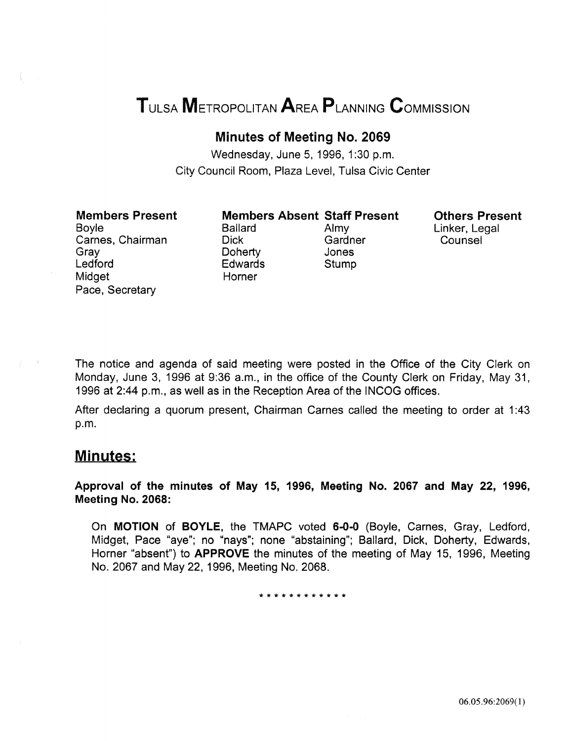# TULSA METROPOLITAN AREA PLANNING CoMMISSION

### Minutes of Meeting No. 2069

Wednesday, June 5, 1996, 1:30 p.m. City Council Room, Plaza Level, Tulsa Civic Center

### Members Present

Boyle Carnes, Chairman Gray Ledford Midget Pace, Secretary

Ballard Almy Dick Gardner Doherty Jones Edwards Stump Horner

Members Absent Staff Present

Others Present Linker, Legal Counsel

The notice and agenda of said meeting were posted in the Office of the City Clerk on Monday, June 3, 1996 at 9:36 a.m., in the office of the County Clerk on Friday, May 31, 1996 at 2:44 p.m., as well as in the Reception Area of the INCOG offices.

After declaring a quorum present, Chairman Carnes called the meeting to order at 1 :43 p.m.

### Minutes:

Approval of the minutes of May 15, 1996, Meeting No. 2067 and May 22, 1996, Meeting No. 2068:

On MOTION of BOYLE, the TMAPC voted 6-0-0 (Boyle, Carnes, Gray, Ledford, Midget, Pace "aye"; no "nays"; none "abstaining"; Ballard, Dick, Doherty, Edwards, Horner "absent") to APPROVE the minutes of the meeting of May 15, 1996, Meeting No. 2067 and May 22, 1996, Meeting No. 2068.

\* \* \* \* \* \* \* \* \* \* \*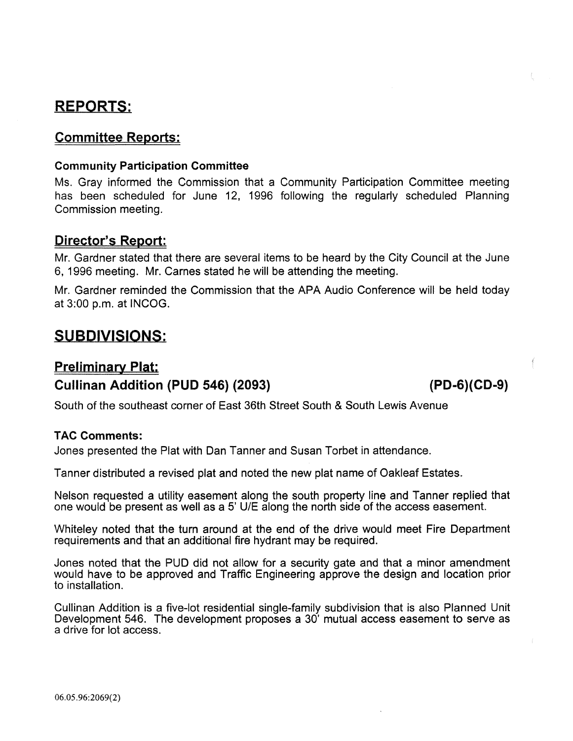# REPORTS:

### Committee Reports:

### Community Participation Committee

Ms. Gray informed the Commission that a Community Participation Committee meeting has been scheduled for June 12, 1996 following the regularly scheduled Planning Commission meeting.

### Director's Report:

Mr. Gardner stated that there are several items to be heard by the City Council at the June 6, 1996 meeting. Mr. Carnes stated he will be attending the meeting.

Mr. Gardner reminded the Commission that the APA Audio Conference will be held today at  $3:00$  p.m. at INCOG.

## SUBDIVISIONS:

### Preliminary Plat: Cullinan Addition (PUD 546) (2093) (PD-G)(CD-9)

South of the southeast corner of East 36th Street South & South Lewis Avenue

### TAC Comments:

Jones presented the Plat with Dan Tanner and Susan Torbet in attendance.

Tanner distributed a revised plat and noted the new plat name of Oakleaf Estates.

Nelson requested a utility easement along the south property line and Tanner replied that one would be present as well as a 5' U/E along the north side of the access easement.

Whiteley noted that the turn around at the end of the drive would meet Fire Department requirements and that an additional fire hydrant may be required.

Jones noted that the PUD did not allow for a security gate and that a minor amendment would have to be approved and Traffic Engineering approve the design and location prior to installation.

Cullinan Addition is a five-lot residential single-family subdivision that is also Planned Unit Development 546. The development proposes a 30' mutual access easement to serve as a drive for lot access.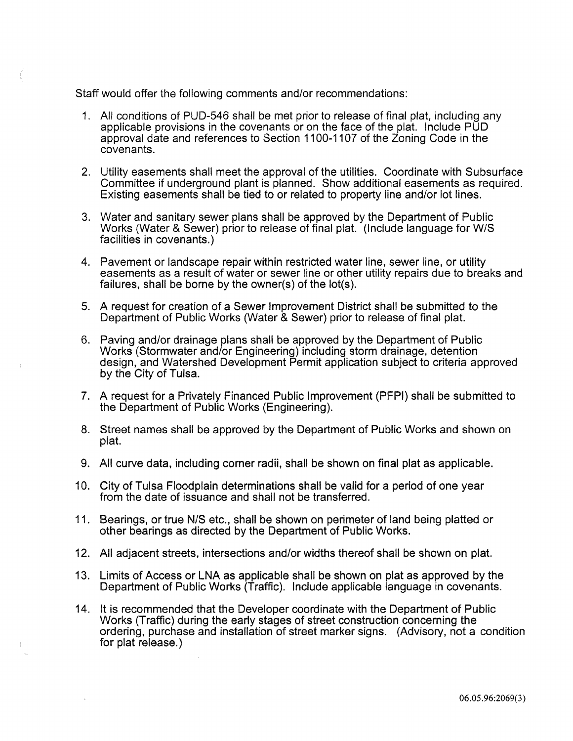Staff would offer the following comments and/or recommendations:

- 1. All conditions of PUD-546 shall be met prior to release of final plat, including any applicable provisions in the covenants or on the face of the plat. Include PUD approval date and references to Section 1100-1107 of the Zoning Code in the covenants.
- 2. Utility easements shall meet the approval of the utilities. Coordinate with Subsurface Committee if underground plant is planned. Show additional easements as required. Existing easements shall be tied to or related to property line and/or lot lines.
- 3. Water and sanitary sewer plans shall be approved by the Department of Public Works (Water & Sewer) prior to release of final plat. (Include language for W/S facilities in covenants.)
- 4. Pavement or landscape repair within restricted water line, sewer line, or utility easements as a result of water or sewer line or other utility repairs due to breaks and failures, shall be borne by the owner(s) of the lot(s).
- 5. A request for creation of a Sewer Improvement District shall be submitted to the Department of Public Works (Water & Sewer) prior to release of final plat.
- 6. Paving and/or drainage plans shall be approved by the Department of Public Works (Stormwater and/or Engineering) including storm drainage, detention design, and Watershed Development Permit application subject to criteria approved by the City of Tulsa.
- 7. A request for a Privately Financed Public Improvement (PFPI) shall be submitted to the Department of Public Works (Engineering).
- 8. Street names shall be approved by the Department of Public Works and shown on plat.
- 9. All curve data, including corner radii, shall be shown on final plat as applicable.
- 10. City of Tulsa Floodplain determinations shall be valid for a period of one year from the date of issuance and shall not be transferred.
- 11. Bearings, or true N/S etc., shall be shown on perimeter of land being platted or other bearings as directed by the Department of Public Works.
- 12. All adjacent streets, intersections and/or widths thereof shall be shown on plat.
- 13. Limits of Access or LNA as applicable shall be shown on plat as approved by the Department of Public Works (Traffic). Include applicable language in covenants.
- 14. It is recommended that the Developer coordinate with the Department of Public Works (Traffic) during the early stages of street construction concerning the ordering, purchase and installation of street marker signs. (Advisory, not a condition for plat release.)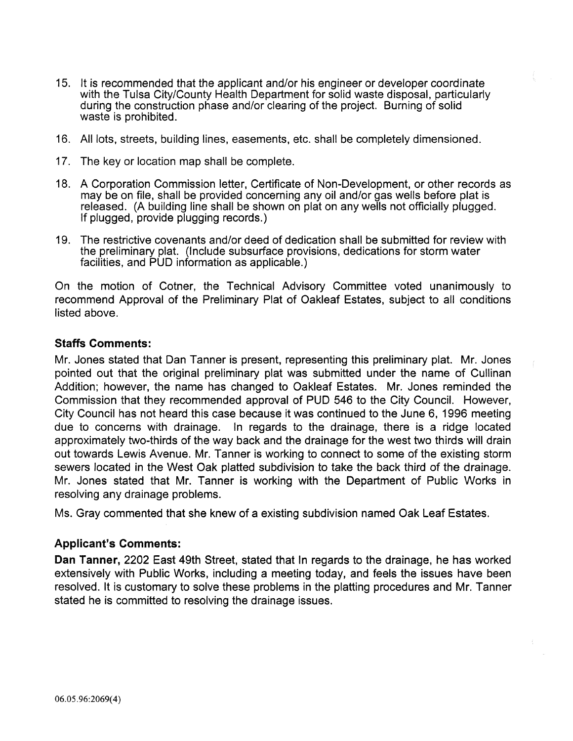- 15. It is recommended that the applicant and/or his engineer or developer coordinate with the Tulsa City/County Health Department for solid waste disposal, particularly during the construction phase and/or clearing of the project. Burning of solid waste is prohibited.
- 16. All lots, streets, building lines, easements, etc. shall be completely dimensioned.
- 17. The key or location map shall be complete.
- 18. A Corporation Commission letter, Certificate of Non-Development, or other records as may be on file, shall be provided concerning any oil and/or gas wells before plat is released. (A building line shall be shown on plat on any wells not officially plugged. If plugged, provide plugging records.)
- 19. The restrictive covenants and/or deed of dedication shall be submitted for review with the preliminary plat. (Include subsurface provisions, dedications for storm water facilities, and PUD information as applicable.)

On the motion of Cotner, the Technical Advisory Committee voted unanimously to recommend Approval of the Preliminary Plat of Oakleaf Estates, subject to all conditions listed above.

### Staffs Comments:

Mr. Jones stated that Dan Tanner is present, representing this preliminary plat. Mr. Jones pointed out that the original preliminary plat was submitted under the name of Cullinan Addition; however, the name has changed to Oakleaf Estates. Mr. Jones reminded the Commission that they recommended approval of PUD 546 to the City Council. However, City Council has not heard this case because it was continued to the June 6, 1996 meeting due to concerns with drainage. In regards to the drainage, there is a ridge located approximately two-thirds of the way back and the drainage for the west two thirds will drain out towards Lewis Avenue. Mr. Tanner is working to connect to some of the existing storm sewers located in the West Oak platted subdivision to take the back third of the drainage. Mr. Jones stated that Mr. Tanner is working with the Department of Public Works in resolving any drainage problems.

Ms. Gray commented that she knew of a existing subdivision named Oak Leaf Estates.

### Applicant's Comments:

Dan Tanner, 2202 East 49th Street, stated that In regards to the drainage, he has worked extensively with Public Works, including a meeting today, and feels the issues have been resolved. It is customary to solve these problems in the platting procedures and Mr. Tanner stated he is committed to resolving the drainage issues.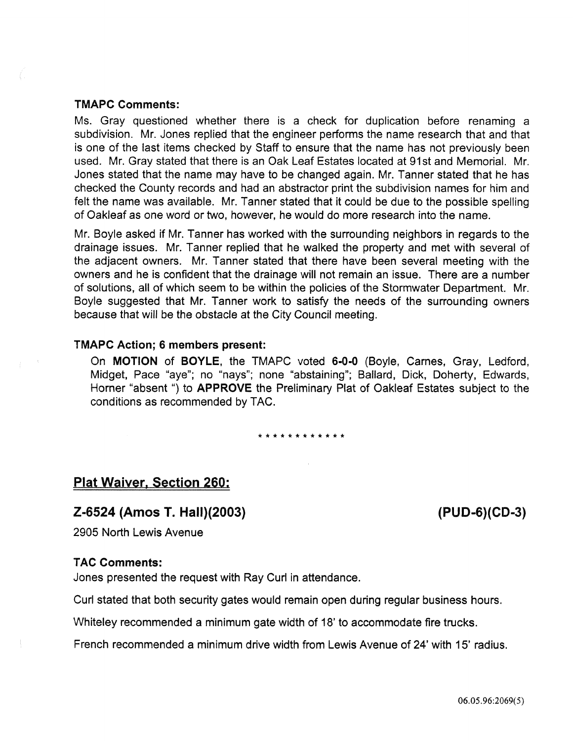### TMAPC Comments:

Ms. Gray questioned whether there is a check for duplication before renaming a subdivision. Mr. Jones replied that the engineer performs the name research that and that is one of the last items checked by Staff to ensure that the name has not previously been used. Mr. Gray stated that there is an Oak Leaf Estates located at 91st and Memorial. Mr. Jones stated that the name may have to be changed again. Mr. Tanner stated that he has checked the County records and had an abstractor print the subdivision names for him and felt the name was available. Mr. Tanner stated that it could be due to the possible spelling of Oakleaf as one word or two, however, he would do more research into the name.

Mr. Boyle asked if Mr. Tanner has worked with the surrounding neighbors in regards to the drainage issues. Mr. Tanner replied that he walked the property and met with several of the adjacent owners. Mr. Tanner stated that there have been several meeting with the owners and he is confident that the drainage will not remain an issue. There are a number of solutions, all of which seem to be within the policies of the Stormwater Department. Mr. Boyle suggested that Mr. Tanner work to satisfy the needs of the surrounding owners because that will be the obstacle at the City Council meeting.

#### TMAPC Action; 6 members present:

On MOTION of BOYLE, the TMAPC voted 6-0-0 (Boyle, Carnes, Gray, Ledford, Midget, Pace "aye"; no "nays"; none "abstaining"; Ballard, Dick, Doherty, Edwards, Horner "absent") to **APPROVE** the Preliminary Plat of Oakleaf Estates subject to the conditions as recommended by TAC.

\*\*\*\*\*\*\*\*\*\*\*\*

### Plat Waiver, Section 260:

### Z-6524 (Amos T. Hall)(2003)

2905 North Lewis Avenue

#### **TAC Comments:**

Jones presented the request with Ray Curl in attendance.

Curl stated that both security gates would remain open during regular business hours.

Whiteley recommended a minimum gate width of 18' to accommodate fire trucks.

French recommended a minimum drive width from Lewis Avenue of 24' with 15' radius.

(PUD-6)(CD-3)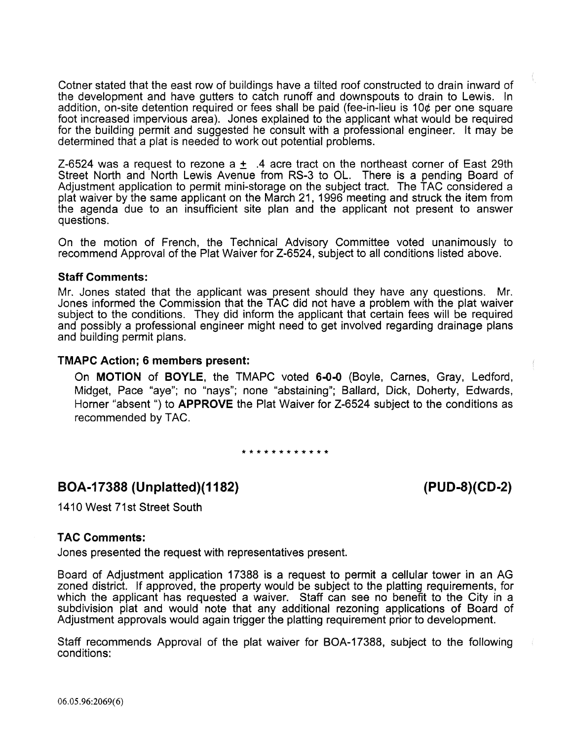Cotner stated that the east row of buildings have a tilted roof constructed to drain inward of the development and have gutters to catch runoff and downspouts to drain to Lewis. In addition, on-site detention required or fees shall be paid (fee-in-lieu is 10¢ per one square foot increased impervious area). Jones explained to the applicant what would be required for the building permit and suggested he consult with a professional engineer. It may be determined that a plat is needed to work out potential problems.

Z-6524 was a request to rezone a  $\pm$  .4 acre tract on the northeast corner of East 29th Street North and North Lewis Avenue from RS-3 to OL. There is a pending Board of Adjustment application to permit mini-storage on the subject tract. The TAC considered a plat waiver by the same applicant on the March 21, 1996 meeting and struck the item from the agenda due to an insufficient site plan and the applicant not present to answer questions.

On the motion of French, the Technical Advisory Committee voted unanimously to recommend Approval of the Plat Waiver for Z-6524, subject to all conditions listed above.

#### Staff Comments:

Mr. Jones stated that the applicant was present should they have any questions. Mr. Jones informed the Commission that the TAC did not have a problem with the plat waiver subject to the conditions. They did inform the applicant that certain fees will be required and possibly a professional engineer might need to get involved regarding drainage plans and building permit plans.

#### TMAPC Action; 6 members present:

On MOTION of BOYLE, the TMAPC voted 6-0-0 (Boyle, Carnes, Gray, Ledford, Midget, Pace "aye"; no "nays"; none "abstaining"; Ballard, Dick, Doherty, Edwards, Horner "absent ") to APPROVE the Plat Waiver for Z-6524 subject to the conditions as recommended by TAC.

\*\*\*\*\*\*\*\*\*\*\*\*

### BOA-17388 (Unplatted)(1182)

(PUD-8)(CD-2)

1410 West 71st Street South

### TAC Comments:

Jones presented the request with representatives present.

Board of Adjustment application 17388 is a request to permit a cellular tower in an AG zoned district. If approved, the property would be subject to the platting requirements, for which the applicant has requested a waiver. Staff can see no benefit to the City in a subdivision plat and would note that any additional rezoning applications of Board of Adjustment approvals would again trigger the platting requirement prior to development.

Staff recommends Approval of the plat waiver for BOA-17388, subject to the following conditions: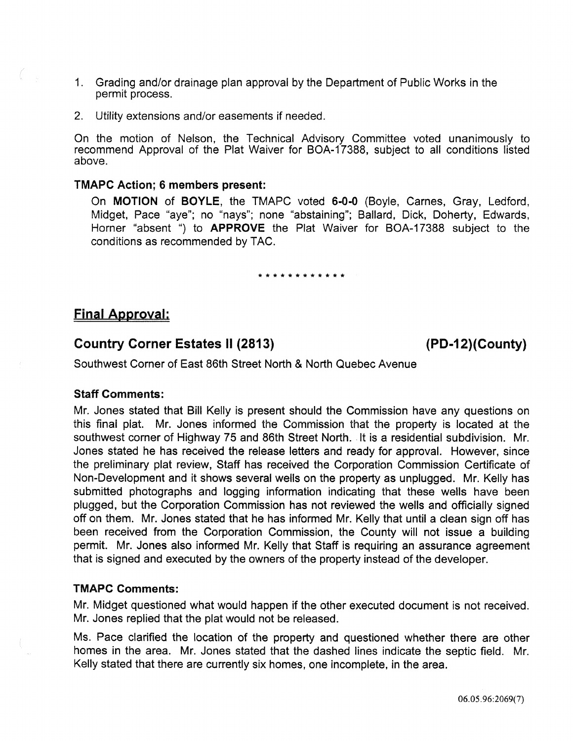- 1. Grading and/or drainage plan approval by the Department of Public Works in the permit process.
- 2. Utility extensions and/or easements if needed.

On the motion of Nelson, the Technical Advisory Committee voted unanimously to recommend Approval of the Plat Waiver for BOA-17388, subject to all conditions listed above.

### TMAPC Action; 6 members present:

On MOTION of BOYLE, the TMAPC voted 6-0-0 (Boyle, Carnes, Gray, Ledford, Midget, Pace "aye"; no "nays"; none "abstaining"; Ballard, Dick, Doherty, Edwards, Horner "absent ") to APPROVE the Plat Waiver for BOA-17388 subject to the conditions as recommended by TAG.

#### \*\*\*\*\*\*\*\*\*\*\*\*

### Final Approval:

### Country Corner Estates II (2813) (PD-12)(County)

Southwest Corner of East 86th Street North & North Quebec Avenue

### Staff Comments:

Mr. Jones stated that Bill Kelly is present should the Commission have any questions on this finai plat. Mr. Jones informed the Commission that the property is located at the southwest corner of Highway 75 and 86th Street North. It is a residential subdivision. Mr. Jones stated he has received the release letters and ready for approval. However, since the preliminary plat review, Staff has received the Corporation Commission Certificate of Non-Development and it shows several wells on the property as unplugged. Mr. Kelly has submitted photographs and logging information indicating that these wells have been plugged, but the Corporation Commission has not reviewed the wells and officially signed off on them. Mr. Jones stated that he has informed Mr. Kelly that until a clean sign off has been received from the Corporation Commission, the County will not issue a building permit. Mr. Jones also informed Mr. Kelly that Staff is requiring an assurance agreement that is signed and executed by the owners of the property instead of the developer.

### TMAPC Comments:

Mr. Midget questioned what would happen if the other executed document is not received. Mr. Jones replied that the plat would not be released.

Ms. Pace clarified the location of the property and questioned whether there are other homes in the area. Mr. Jones stated that the dashed lines indicate the septic field. Mr. Kelly stated that there are currently six homes, one incomplete, in the area.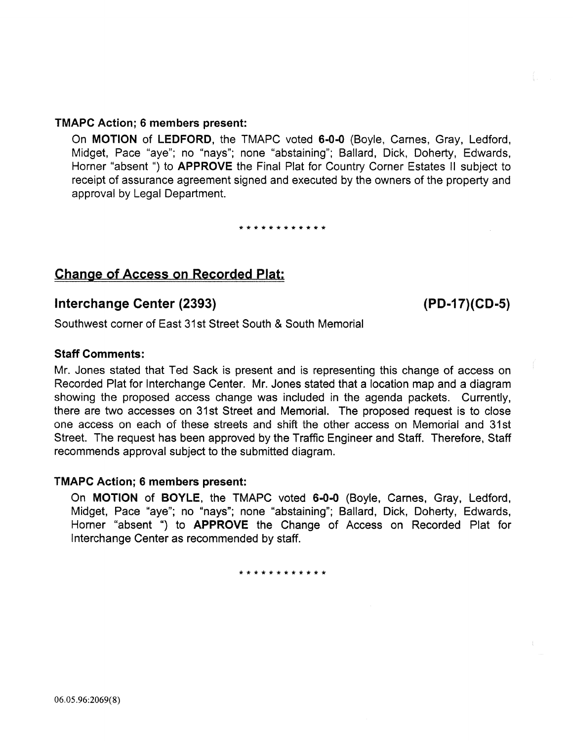### TMAPC Action; 6 members present:

On MOTION of LEDFORD, the TMAPC voted 6-0-0 (Boyle, Carnes, Gray, Ledford, Midget, Pace "aye"; no "nays"; none "abstaining"; Ballard, Dick, Doherty, Edwards, Horner "absent ") to APPROVE the Final Plat for Country Corner Estates II subject to receipt of assurance agreement signed and executed by the owners of the property and approval by Legal Department.

\*\*\*\*\*\*\*\*\*\*\*\*

### Change of Access on Recorded Plat:

### Interchange Center (2393) (PD-17)(CD-5)

Southwest corner of East 31st Street South & South Memorial

### Staff Comments:

Mr. Jones stated that Ted Sack is present and is representing this change of access on Recorded Plat for Interchange Center. Mr. Jones stated that a location map and a diagram showing the proposed access change was included in the agenda packets. Currently, there are two accesses on 31st Street and Memorial. The proposed request is to close one access on each of these streets and shift the other access on Memoriai and 31st Street. The request has been approved by the Traffic Engineer and Staff. Therefore, Staff recommends approval subject to the submitted diagram.

### TMAPC Action; 6 members present:

On MOTION of BOYLE, the TMAPC voted 6-0-0 (Boyle, Carnes, Gray, Ledford, Midget, Pace "aye"; no "nays"; none "abstaining"; Ballard, Dick, Doherty, Edwards, Horner "absent ") to APPROVE the Change of Access on Recorded Plat for Interchange Center as recommended by staff.

\*\*\*\*\*\*\*\*\*\*\*\*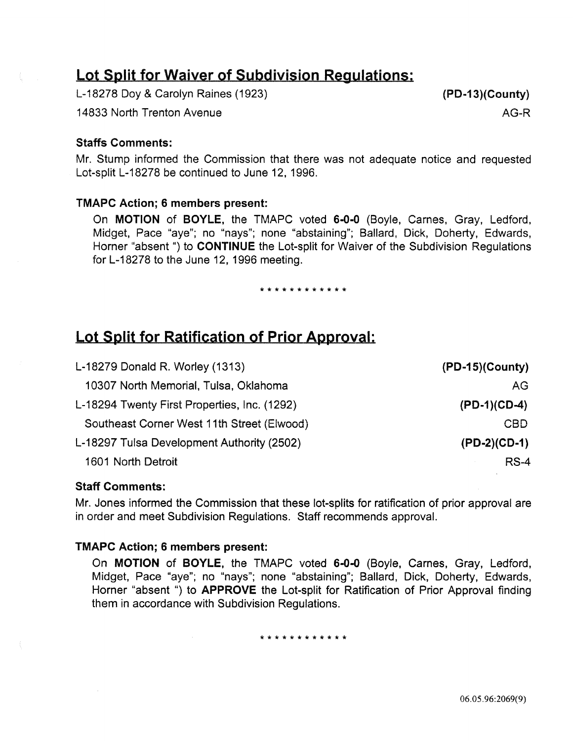# Lot Split for Waiver of Subdivision Regulations:

L-18278 Doy & Carolyn Raines (1923)

14833 North Trenton Avenue

#### Staffs Comments:

Mr. Stump informed the Commission that there was not adequate notice and requested Lot-split L-18278 be continued to June 12, 1996.

### TMAPC Action; 6 members present:

On MOTION of BOYLE, the TMAPC voted 6-0·0 (Boyle, Carnes, Gray, Ledford, Midget, Pace "aye"; no "nays"; none "abstaining"; Ballard, Dick, Doherty, Edwards, Horner "absent ") to CONTINUE the Lot-split for Waiver of the Subdivision Regulations for L-18278 to the June 12, 1996 meeting.

#### \*\*\*\*\*\*\*\*\*\*\*\*

# Lot Split for Ratification of Prior Approval:

| L-18279 Donald R. Worley (1313)              | $(PD-15)(Country)$ |
|----------------------------------------------|--------------------|
| 10307 North Memorial, Tulsa, Oklahoma        | AG                 |
| L-18294 Twenty First Properties, Inc. (1292) | $(PD-1)(CD-4)$     |
| Southeast Corner West 11th Street (Elwood)   | <b>CBD</b>         |
| L-18297 Tulsa Development Authority (2502)   | $(PD-2)(CD-1)$     |
| 1601 North Detroit                           | $RS-4$             |
|                                              |                    |

### Staff Comments:

Mr. Jones informed the Commission that these lot-splits for ratification of prior approval are in order and meet Subdivision Regulations. Staff recommends approval.

#### TMAPC Action; 6 members present:

On MOTION of BOYLE, the TMAPC voted 6-0-0 (Boyle, Carnes, Gray, Ledford, Midget, Pace "aye"; no "nays"; none "abstaining"; Ballard, Dick, Doherty, Edwards, Horner "absent ") to **APPROVE** the Lot-split for Ratification of Prior Approval finding them in accordance with Subdivision Regulations.

\*\*\*\*\*\*\*\*\*\*\*\*

AG-R

06.05.96:2069(9)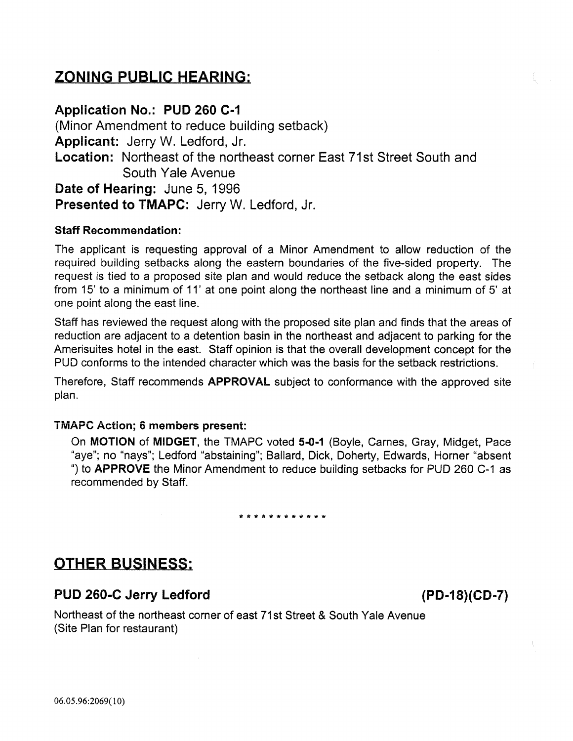# ZONING PUBLIC HEARING:

### Application No.: PUD 260 C-1

(Minor Amendment to reduce building setback) Applicant: Jerry W. Ledford, Jr. Location: Northeast of the northeast corner East 71st Street South and South Yale Avenue Date of Hearing: June 5, 1996 Presented to TMAPC: Jerry W. Ledford, Jr.

### Staff Recommendation:

The applicant is requesting approval of a Minor Amendment to allow reduction of the required building setbacks along the eastern boundaries of the five-sided property. The request is tied to a proposed site plan and would reduce the setback along the east sides from 15' to a minimum of 11' at one point along the northeast line and a minimum of 5' at one point along the east line.

Staff has reviewed the request along with the proposed site plan and finds that the areas of reduction are adjacent to a detention basin in the northeast and adjacent to parking for the Amerisuites hotel in the east. Staff opinion is that the overall development concept for the PUD conforms to the intended character which was the basis for the setback restrictions.

Therefore, Staff recommends APPROVAL subject to conformance with the approved site plan.

### TMAPC Action; 6 members present:

On MOTION of MIDGET, the TMAPC voted 5-0-1 (Boyle, Carnes, Gray, Midget, Pace "aye"; no "nays"; Ledford "abstaining"; Ballard, Dick, Doherty, Edwards, Horner "absent ") to **APPROVE** the Minor Amendment to reduce building setbacks for PUD 260 C-1 as recommended by Staff.

### \*\*\*\*\*\*\*\*\*\*\*\*

### OTHER BUSINESS:

### PUD 260-C Jerry Ledford (PD-18)(CD-7)

Northeast of the northeast corner of east 71 st Street & South Yale Avenue (Site Plan for restaurant)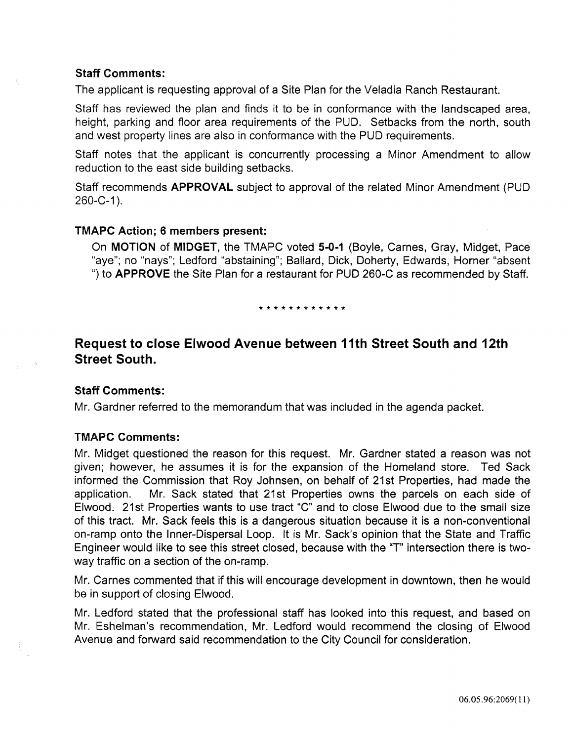### Staff Comments:

The applicant is requesting approval of a Site Plan for the Veladia Ranch Restaurant.

Staff has reviewed the plan and finds it to be in conformance with the landscaped area, height, parking and floor area requirements of the PUD. Setbacks from the north, south and west property lines are also in conformance with the PUD requirements.

Staff notes that the applicant is concurrently processing a Minor Amendment to allow reduction to the east side building setbacks.

Staff recommends APPROVAL subject to approval of the related Minor Amendment (PUD  $260 - C - 1$ .

### TMAPC Action; 6 members present:

On MOTION of MIDGET, the TMAPC voted 5-0-1 (Boyle, Carnes, Gray, Midget, Pace "aye"; no "nays"; Ledford "abstaining"; Ballard, Dick, Doherty, Edwards, Horner "absent ") to APPROVE the Site Plan for a restaurant for PUD 260-C as recommended by Staff.

\* \* \* \* \* \* \* \* \* \* \* \*

### Request to close Elwood Avenue between 11th Street South and 12th Street South.

### Staff Comments:

Mr. Gardner referred to the memorandum that was included in the agenda packet.

### TMAPC Comments:

Mr. Midget questioned the reason for this request. Mr. Gardner stated a reason was not given; however, he assumes it is for the expansion of the Homeland store. Ted Sack informed the Commission that Roy Johnsen, on behalf of 21st Properties, had made the application. Mr. Sack stated that 21st Properties owns the parcels on each side of Elwood. 21st Properties wants to use tract "C" and to close Elwood due to the small size of this tract. Mr. Sack feels this is a dangerous situation because it is a non-conventional on-ramp onto the Inner-Dispersal Loop. It is Mr. Sack's opinion that the State and Traffic Engineer would like to see this street closed, because with the "T" intersection there is twoway traffic on a section of the on-ramp.

Mr. Carnes commented that if this will encourage development in downtown, then he would be in support of closing Elwood.

Mr. Ledford stated that the professional staff has looked into this request, and based on Mr. Eshelman's recommendation, Mr. Ledford would recommend the closing of Elwood Avenue and forward said recommendation to the City Council for consideration.